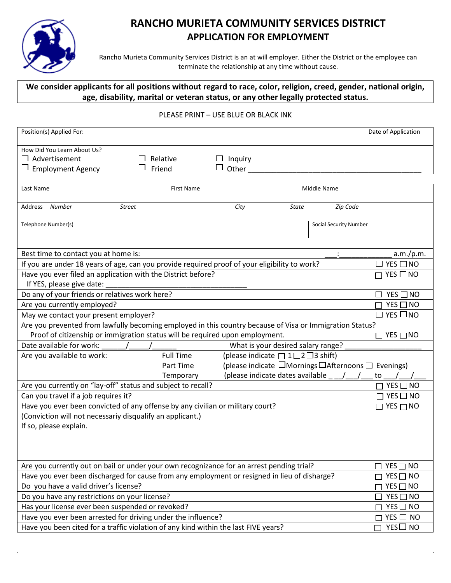

# **RANCHO MURIETA COMMUNITY SERVICES DISTRICT APPLICATION FOR EMPLOYMENT**

Rancho Murieta Community Services District is an at will employer. Either the District or the employee can terminate the relationship at any time without cause.

## **We consider applicants for all positions without regard to race, color, religion, creed, gender, national origin, age, disability, marital or veteran status, or any other legally protected status.**

#### PLEASE PRINT – USE BLUE OR BLACK INK

| Position(s) Applied For:                                                                                 |                   |                                                    |       |                                                   | Date of Application  |
|----------------------------------------------------------------------------------------------------------|-------------------|----------------------------------------------------|-------|---------------------------------------------------|----------------------|
| How Did You Learn About Us?                                                                              |                   |                                                    |       |                                                   |                      |
| $\Box$ Advertisement                                                                                     | Relative          | Inquiry                                            |       |                                                   |                      |
| Ц<br><b>Employment Agency</b>                                                                            | Friend            | Other                                              |       |                                                   |                      |
|                                                                                                          |                   |                                                    |       |                                                   |                      |
| Last Name                                                                                                | <b>First Name</b> |                                                    |       | Middle Name                                       |                      |
| Address<br>Number<br><b>Street</b>                                                                       |                   | City                                               | State | Zip Code                                          |                      |
| Telephone Number(s)                                                                                      |                   |                                                    |       | <b>Social Security Number</b>                     |                      |
| Best time to contact you at home is:                                                                     |                   |                                                    |       |                                                   | a.m./p.m.            |
| If you are under 18 years of age, can you provide required proof of your eligibility to work?            |                   |                                                    |       |                                                   | $YES$ $\Box$ NO      |
| Have you ever filed an application with the District before?                                             |                   |                                                    |       |                                                   | $YES$ $\Box$ NO      |
| If YES, please give date:                                                                                |                   |                                                    |       |                                                   |                      |
| Do any of your friends or relatives work here?                                                           |                   |                                                    |       |                                                   | $YES \Box NO$        |
| Are you currently employed?                                                                              |                   |                                                    |       |                                                   | $YES \Box NO$        |
| May we contact your present employer?                                                                    |                   |                                                    |       |                                                   | YES $\square$ NO     |
| Are you prevented from lawfully becoming employed in this country because of Visa or Immigration Status? |                   |                                                    |       |                                                   |                      |
| Proof of citizenship or immigration status will be required upon employment.                             |                   |                                                    |       |                                                   | $\Box$ YES $\Box$ NO |
| Date available for work:                                                                                 |                   | What is your desired salary range?                 |       |                                                   |                      |
| Are you available to work:                                                                               | <b>Full Time</b>  | (please indicate $\Box$ 1 $\Box$ 2 $\Box$ 3 shift) |       |                                                   |                      |
|                                                                                                          | Part Time         |                                                    |       | (please indicate □Mornings□Afternoons □ Evenings) |                      |
|                                                                                                          | Temporary         | (please indicate dates available                   |       |                                                   | to                   |
| Are you currently on "lay-off" status and subject to recall?                                             |                   |                                                    |       |                                                   | $YES \Box NO$        |
| Can you travel if a job requires it?                                                                     |                   |                                                    |       |                                                   | $YES \Box NO$        |
| Have you ever been convicted of any offense by any civilian or military court?                           |                   |                                                    |       |                                                   | $\Box$ YES $\Box$ NO |
| (Conviction will not necessariy disqualify an applicant.)                                                |                   |                                                    |       |                                                   |                      |
| If so, please explain.                                                                                   |                   |                                                    |       |                                                   |                      |
|                                                                                                          |                   |                                                    |       |                                                   |                      |
|                                                                                                          |                   |                                                    |       |                                                   |                      |
|                                                                                                          |                   |                                                    |       |                                                   |                      |
| Are you currently out on bail or under your own recognizance for an arrest pending trial?                |                   |                                                    |       |                                                   | $YES \Box NO$        |
| Have you ever been discharged for cause from any employment or resigned in lieu of disharge?             |                   |                                                    |       |                                                   | $YES \Box NO$        |
| Do you have a valid driver's license?                                                                    |                   |                                                    |       |                                                   | $YES \Box NO$        |
| Do you have any restrictions on your license?                                                            |                   |                                                    |       |                                                   | $YES \Box NO$        |
| Has your license ever been suspended or revoked?                                                         |                   |                                                    |       |                                                   | $YES \Box NO$        |
| Have you ever been arrested for driving under the influence?                                             |                   |                                                    |       |                                                   | $YES \Box NO$        |
| Have you been cited for a traffic violation of any kind within the last FIVE years?                      |                   |                                                    |       |                                                   | $YES$ NO             |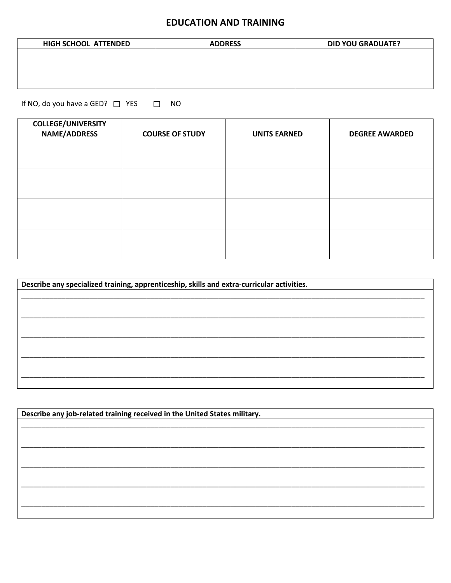## **EDUCATION AND TRAINING**

| HIGH SCHOOL ATTENDED | <b>ADDRESS</b> | <b>DID YOU GRADUATE?</b> |
|----------------------|----------------|--------------------------|
|                      |                |                          |
|                      |                |                          |
|                      |                |                          |
|                      |                |                          |

If NO, do you have a GED?  $\Box$  YES  $\Box$  NO

| <b>COLLEGE/UNIVERSITY</b><br><b>NAME/ADDRESS</b> | <b>COURSE OF STUDY</b> | <b>UNITS EARNED</b> | <b>DEGREE AWARDED</b> |
|--------------------------------------------------|------------------------|---------------------|-----------------------|
|                                                  |                        |                     |                       |
|                                                  |                        |                     |                       |
|                                                  |                        |                     |                       |
|                                                  |                        |                     |                       |
|                                                  |                        |                     |                       |
|                                                  |                        |                     |                       |
|                                                  |                        |                     |                       |
|                                                  |                        |                     |                       |

| Describe any specialized training, apprenticeship, skills and extra-curricular activities. |  |  |  |  |
|--------------------------------------------------------------------------------------------|--|--|--|--|
|                                                                                            |  |  |  |  |
|                                                                                            |  |  |  |  |
|                                                                                            |  |  |  |  |
|                                                                                            |  |  |  |  |
|                                                                                            |  |  |  |  |
|                                                                                            |  |  |  |  |
|                                                                                            |  |  |  |  |
|                                                                                            |  |  |  |  |
|                                                                                            |  |  |  |  |

| Describe any job-related training received in the United States military. |  |  |  |  |  |
|---------------------------------------------------------------------------|--|--|--|--|--|
|                                                                           |  |  |  |  |  |
|                                                                           |  |  |  |  |  |
|                                                                           |  |  |  |  |  |
|                                                                           |  |  |  |  |  |
|                                                                           |  |  |  |  |  |
|                                                                           |  |  |  |  |  |
|                                                                           |  |  |  |  |  |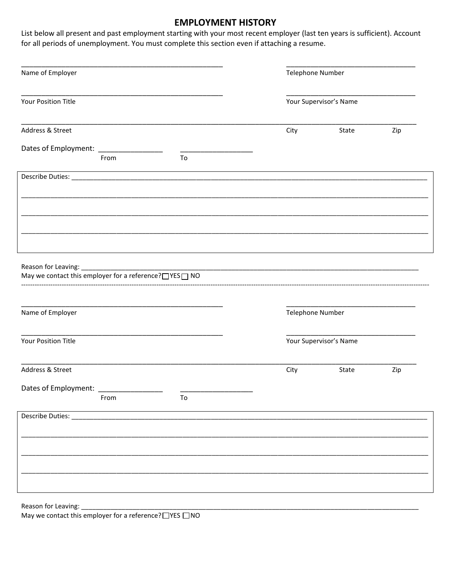#### **EMPLOYMENT HISTORY**

List below all present and past employment starting with your most recent employer (last ten years is sufficient). Account for all periods of unemployment. You must complete this section even if attaching a resume.

| Name of Employer                                                               |                                                                                                                  | <b>Telephone Number</b> |       |     |
|--------------------------------------------------------------------------------|------------------------------------------------------------------------------------------------------------------|-------------------------|-------|-----|
| Your Position Title                                                            |                                                                                                                  | Your Supervisor's Name  |       |     |
| Address & Street                                                               |                                                                                                                  | City                    | State | Zip |
| Dates of Employment: ______________<br>From                                    | To                                                                                                               |                         |       |     |
|                                                                                | and the control of the control of the control of the control of the control of the control of the control of the |                         |       |     |
|                                                                                |                                                                                                                  |                         |       |     |
|                                                                                |                                                                                                                  |                         |       |     |
|                                                                                |                                                                                                                  |                         |       |     |
| Reason for Leaving:<br>May we contact this employer for a reference? TYES T NO |                                                                                                                  |                         |       |     |
| Name of Employer                                                               |                                                                                                                  | Telephone Number        |       |     |
| Your Position Title                                                            |                                                                                                                  | Your Supervisor's Name  |       |     |
| Address & Street                                                               |                                                                                                                  | City                    | State | Zip |
| Dates of Employment:<br>From                                                   | To                                                                                                               |                         |       |     |
|                                                                                |                                                                                                                  |                         |       |     |
|                                                                                |                                                                                                                  |                         |       |     |
|                                                                                |                                                                                                                  |                         |       |     |
|                                                                                |                                                                                                                  |                         |       |     |
|                                                                                |                                                                                                                  |                         |       |     |
|                                                                                |                                                                                                                  |                         |       |     |

May we contact this employer for a reference?  $\Box$ YES  $\Box$ NO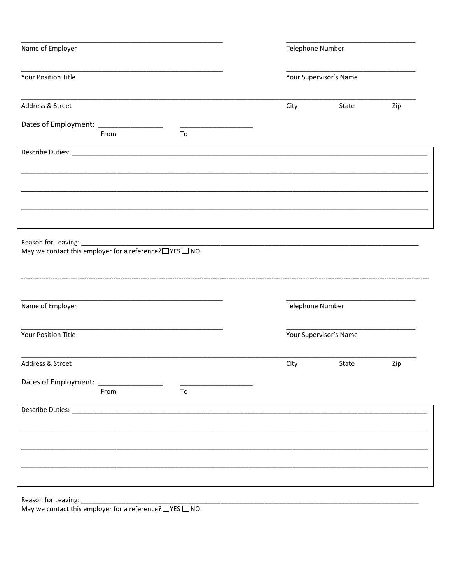| Name of Employer<br>Your Position Title<br>Address & Street                                                                                                         |    | Telephone Number<br>Your Supervisor's Name   |                        |     |
|---------------------------------------------------------------------------------------------------------------------------------------------------------------------|----|----------------------------------------------|------------------------|-----|
|                                                                                                                                                                     |    |                                              |                        |     |
|                                                                                                                                                                     |    | Dates of Employment: _______________<br>From | To                     |     |
|                                                                                                                                                                     |    |                                              |                        |     |
|                                                                                                                                                                     |    |                                              |                        |     |
|                                                                                                                                                                     |    |                                              |                        |     |
|                                                                                                                                                                     |    |                                              |                        |     |
|                                                                                                                                                                     |    |                                              |                        |     |
|                                                                                                                                                                     |    | Telephone Number                             |                        |     |
|                                                                                                                                                                     |    |                                              | Your Supervisor's Name |     |
|                                                                                                                                                                     |    | City                                         | State                  | Zip |
| From                                                                                                                                                                | To |                                              |                        |     |
|                                                                                                                                                                     |    |                                              |                        |     |
|                                                                                                                                                                     |    |                                              |                        |     |
| May we contact this employer for a reference? $\Box$ YES $\Box$ NO<br>Name of Employer<br>Your Position Title<br>Address & Street<br>Dates of Employment: _________ |    |                                              |                        |     |

Reason for Leaving:  $\frac{1}{2}$  May we contact this employer for a reference?  $\Box$ YES  $\Box$  NO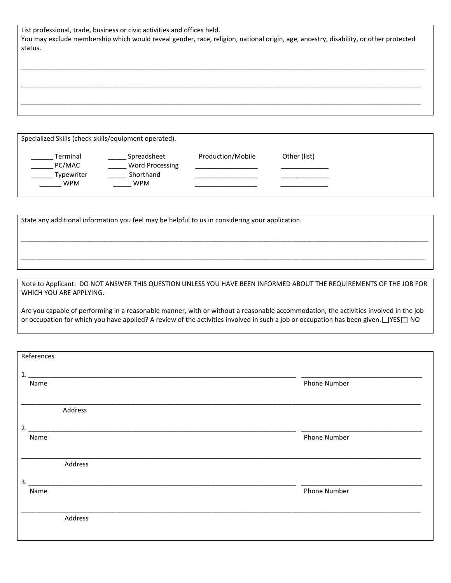| List professional, trade, business or civic activities and offices held.                                                             |
|--------------------------------------------------------------------------------------------------------------------------------------|
| You may exclude membership which would reveal gender, race, religion, national origin, age, ancestry, disability, or other protected |
| status.                                                                                                                              |

\_\_\_\_\_\_\_\_\_\_\_\_\_\_\_\_\_\_\_\_\_\_\_\_\_\_\_\_\_\_\_\_\_\_\_\_\_\_\_\_\_\_\_\_\_\_\_\_\_\_\_\_\_\_\_\_\_\_\_\_\_\_\_\_\_\_\_\_\_\_\_\_\_\_\_\_\_\_\_\_\_\_\_\_\_\_\_\_\_\_\_\_\_\_\_\_\_\_\_\_\_\_\_\_\_\_\_\_\_\_

\_\_\_\_\_\_\_\_\_\_\_\_\_\_\_\_\_\_\_\_\_\_\_\_\_\_\_\_\_\_\_\_\_\_\_\_\_\_\_\_\_\_\_\_\_\_\_\_\_\_\_\_\_\_\_\_\_\_\_\_\_\_\_\_\_\_\_\_\_\_\_\_\_\_\_\_\_\_\_\_\_\_\_\_\_\_\_\_\_\_\_\_\_\_\_\_\_\_\_\_\_\_\_\_\_\_\_\_\_

\_\_\_\_\_\_\_\_\_\_\_\_\_\_\_\_\_\_\_\_\_\_\_\_\_\_\_\_\_\_\_\_\_\_\_\_\_\_\_\_\_\_\_\_\_\_\_\_\_\_\_\_\_\_\_\_\_\_\_\_\_\_\_\_\_\_\_\_\_\_\_\_\_\_\_\_\_\_\_\_\_\_\_\_\_\_\_\_\_\_\_\_\_\_\_\_\_\_\_\_\_\_\_\_\_\_\_\_\_

Specialized Skills (check skills/equipment operated).

\_\_\_\_\_ PC/MAC \_\_\_\_\_\_\_\_\_\_ Word Processing \_\_\_\_\_ Typewriter \_\_\_\_\_\_\_\_\_ Shorthand WPM  $\Box$  WPM

\_\_ Terminal \_\_\_\_\_\_\_\_\_\_ Spreadsheet \_\_\_\_\_\_\_\_\_\_ Production/Mobile \_\_\_\_\_\_\_ Other (list)

State any additional information you feel may be helpful to us in considering your application.

Note to Applicant: DO NOT ANSWER THIS QUESTION UNLESS YOU HAVE BEEN INFORMED ABOUT THE REQUIREMENTS OF THE JOB FOR WHICH YOU ARE APPLYING.

\_\_\_\_\_\_\_\_\_\_\_\_\_\_\_\_\_\_\_\_\_\_\_\_\_\_\_\_\_\_\_\_\_\_\_\_\_\_\_\_\_\_\_\_\_\_\_\_\_\_\_\_\_\_\_\_\_\_\_\_\_\_\_\_\_\_\_\_\_\_\_\_\_\_\_\_\_\_\_\_\_\_\_\_\_\_\_\_\_\_\_\_\_\_\_\_\_\_\_\_\_\_\_\_\_\_\_\_\_\_\_

\_\_\_\_\_\_\_\_\_\_\_\_\_\_\_\_\_\_\_\_\_\_\_\_\_\_\_\_\_\_\_\_\_\_\_\_\_\_\_\_\_\_\_\_\_\_\_\_\_\_\_\_\_\_\_\_\_\_\_\_\_\_\_\_\_\_\_\_\_\_\_\_\_\_\_\_\_\_\_\_\_\_\_\_\_\_\_\_\_\_\_\_\_\_\_\_\_\_\_\_\_\_\_\_\_\_\_\_\_\_

Are you capable of performing in a reasonable manner, with or without a reasonable accommodation, the activities involved in the job or occupation for which you have applied? A review of the activities involved in such a job or occupation has been given.  $\Box$ YES $\Box$  NO

| References                                                                                                            |                     |
|-----------------------------------------------------------------------------------------------------------------------|---------------------|
| 1.                                                                                                                    |                     |
| Name                                                                                                                  | Phone Number        |
|                                                                                                                       |                     |
| Address                                                                                                               |                     |
| 2.<br>the contract of the contract of the contract of the contract of the contract of the contract of the contract of |                     |
| Name                                                                                                                  | <b>Phone Number</b> |
|                                                                                                                       |                     |
| Address                                                                                                               |                     |
| 3.                                                                                                                    |                     |
| Name                                                                                                                  | Phone Number        |
|                                                                                                                       |                     |
| Address                                                                                                               |                     |
|                                                                                                                       |                     |